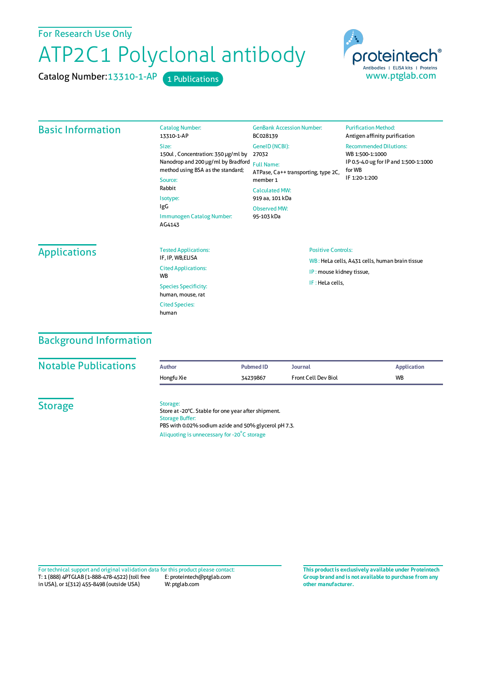For Research Use Only

## ATP2C1 Polyclonal antibody

Cited Species: human

Catalog Number: 13310-1-AP 1 Publications



| <b>Basic Information</b> | <b>Catalog Number:</b><br>13310-1-AP                                                                                                                                                                  | <b>GenBank Accession Number:</b><br>BC028139                                                                                                                              | <b>Purification Method:</b><br>Antigen affinity purification                                                         |
|--------------------------|-------------------------------------------------------------------------------------------------------------------------------------------------------------------------------------------------------|---------------------------------------------------------------------------------------------------------------------------------------------------------------------------|----------------------------------------------------------------------------------------------------------------------|
|                          | Size:<br>150ul, Concentration: 350 µg/ml by<br>Nanodrop and 200 µg/ml by Bradford<br>method using BSA as the standard;<br>Source:<br>Rabbit<br>Isotype:<br>IgG<br>Immunogen Catalog Number:<br>AG4143 | GeneID (NCBI):<br>27032<br><b>Full Name:</b><br>ATPase, Ca++ transporting, type 2C,<br>member 1<br><b>Calculated MW:</b><br>919 aa, 101 kDa<br>Observed MW:<br>95-103 kDa | <b>Recommended Dilutions:</b><br>WB 1:500-1:1000<br>IP 0.5-4.0 ug for IP and 1:500-1:1000<br>for WB<br>IF 1:20-1:200 |
| <b>Applications</b>      | <b>Tested Applications:</b><br>IF, IP, WB, ELISA<br><b>Cited Applications:</b><br><b>WB</b><br><b>Species Specificity:</b><br>human, mouse, rat                                                       | <b>Positive Controls:</b><br>WB: HeLa cells, A431 cells, human brain tissue<br>IP: mouse kidney tissue,<br>IF: HeLa cells,                                                |                                                                                                                      |

## Background Information

| <b>Notable Publications</b> | <b>Author</b>                      | <b>Pubmed ID</b>                                                                                                                                           | <b>Journal</b>             | <b>Application</b> |
|-----------------------------|------------------------------------|------------------------------------------------------------------------------------------------------------------------------------------------------------|----------------------------|--------------------|
|                             | Hongfu Xie                         | 34239867                                                                                                                                                   | <b>Front Cell Dev Biol</b> | <b>WB</b>          |
| <b>Storage</b>              | Storage:<br><b>Storage Buffer:</b> | Store at -20°C. Stable for one year after shipment.<br>PBS with 0.02% sodium azide and 50% glycerol pH 7.3.<br>Aliquoting is unnecessary for -20°C storage |                            |                    |

T: 1 (888) 4PTGLAB (1-888-478-4522) (toll free in USA), or 1(312) 455-8498 (outside USA) E: proteintech@ptglab.com W: ptglab.com Fortechnical support and original validation data forthis product please contact: **This productis exclusively available under Proteintech**

**Group brand and is not available to purchase from any other manufacturer.**